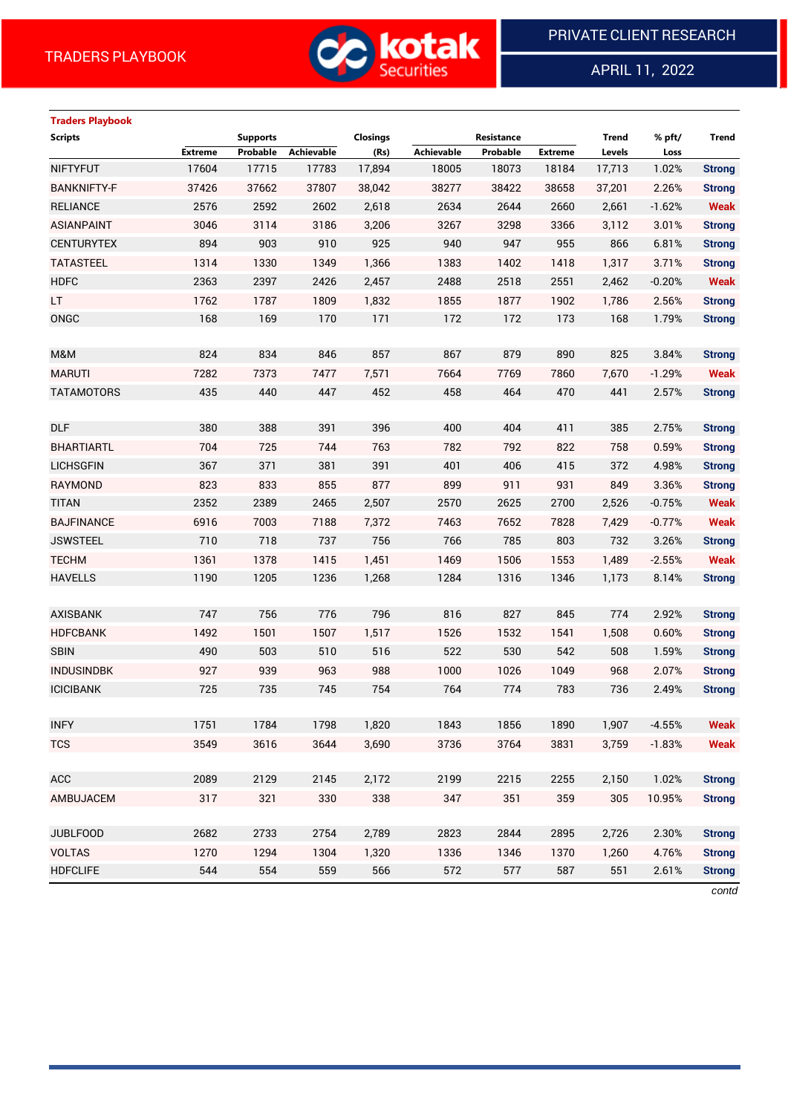

APRIL 11, 2022

 $\overline{a}$ 

# **Traders Playbook Scripts Supports Closings Resistance Trend % pft/ Trend Extreme Probable Achievable (Rs) Achievable Probable Extreme Levels Loss** NIFTYFUT 17604 17715 17783 17,894 18005 18073 18184 17,713 1.02% **Strong** BANKNIFTY-F 37426 37662 37807 38,042 38277 38422 38658 37,201 2.26% **Strong** RELIANCE 2576 2592 2602 2,618 2634 2644 2660 2,661 -1.62% **Weak** ASIANPAINT 3046 3114 3186 3,206 3267 3298 3366 3,112 3.01% **Strong** CENTURYTEX 894 903 910 925 940 947 955 866 6.81% **Strong** TATASTEEL 1314 1330 1349 1,366 1383 1402 1418 1,317 3.71% **Strong** HDFC 2363 2397 2426 2,457 2488 2518 2551 2,462 -0.20% **Weak** LT 1762 1787 1809 1,832 1855 1877 1902 1,786 2.56% **Strong** ONGC 168 169 170 171 172 172 173 168 1.79% **Strong** M&M 824 834 846 857 867 879 890 825 3.84% **Strong** MARUTI 7282 7373 7477 7,571 7664 7769 7860 7,670 -1.29% **Weak** TATAMOTORS 435 440 447 452 458 464 470 441 2.57% **Strong** DLF 380 388 391 396 400 404 411 385 2.75% **Strong** BHARTIARTL 704 725 744 763 782 792 822 758 0.59% **Strong** LICHSGFIN 367 371 381 391 401 406 415 372 4.98% **Strong** RAYMOND 823 833 855 877 899 911 931 849 3.36% **Strong** TITAN 2352 2389 2465 2,507 2570 2625 2700 2,526 -0.75% **Weak** BAJFINANCE 6916 7003 7188 7,372 7463 7652 7828 7,429 -0.77% **Weak** JSWSTEEL 710 718 737 756 766 785 803 732 3.26% **Strong** TECHM 1361 1378 1415 1,451 1469 1506 1553 1,489 -2.55% **Weak** HAVELLS 1190 1205 1236 1,268 1284 1316 1346 1,173 8.14% **Strong** AXISBANK 747 756 776 796 816 827 845 774 2.92% **Strong** HDFCBANK 1492 1501 1507 1,517 1526 1532 1541 1,508 0.60% **Strong** SBIN 490 503 510 516 522 530 542 508 1.59% **Strong** INDUSINDBK 927 939 963 988 1000 1026 1049 968 2.07% **Strong** ICICIBANK 725 735 745 754 764 774 783 736 2.49% **Strong** INFY 1751 1784 1798 1,820 1843 1856 1890 1,907 -4.55% **Weak** TCS 3549 3616 3644 3,690 3736 3764 3831 3,759 -1.83% **Weak** ACC 2089 2129 2145 2,172 2199 2215 2255 2,150 1.02% **Strong** AMBUJACEM 317 321 330 338 347 351 359 305 10.95% **Strong** JUBLFOOD 2682 2733 2754 2,789 2823 2844 2895 2,726 2.30% **Strong** VOLTAS 1270 1294 1304 1,320 1336 1346 1370 1,260 4.76% **Strong** HDFCLIFE 544 554 559 566 572 577 587 551 2.61% **Strong**

*contd*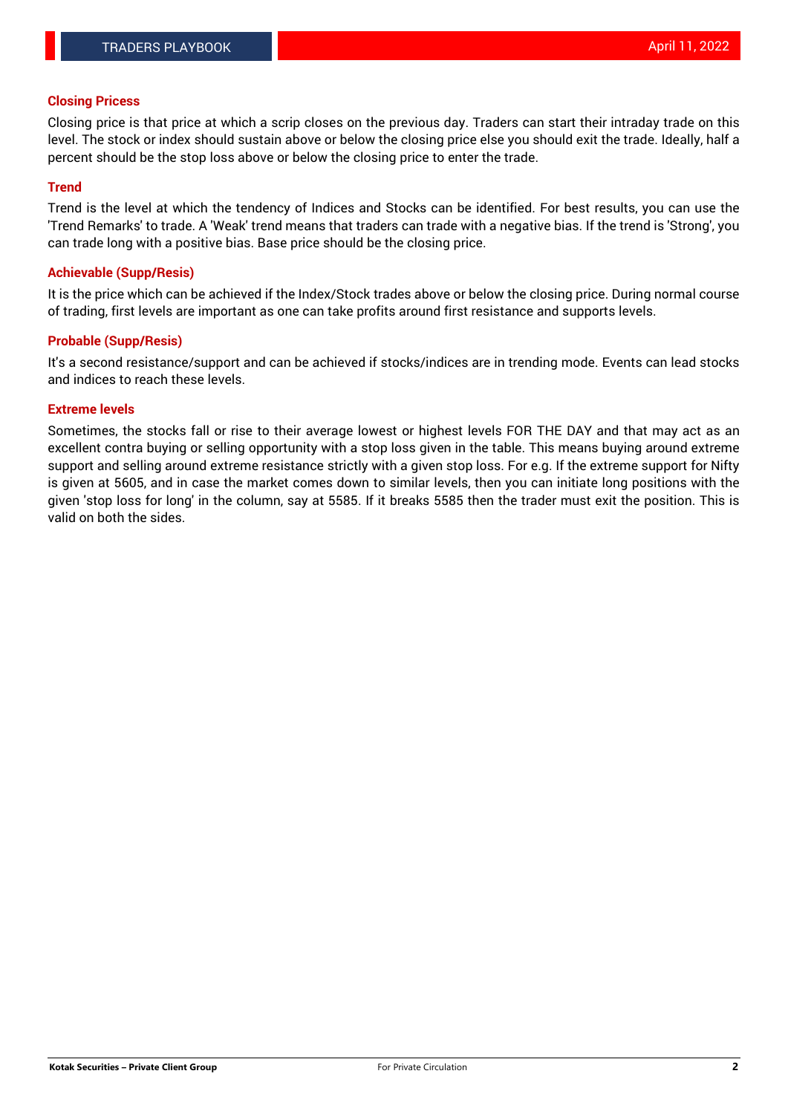#### **Closing Pricess**

Closing price is that price at which a scrip closes on the previous day. Traders can start their intraday trade on this level. The stock or index should sustain above or below the closing price else you should exit the trade. Ideally, half a percent should be the stop loss above or below the closing price to enter the trade.

#### **Trend**

Trend is the level at which the tendency of Indices and Stocks can be identified. For best results, you can use the 'Trend Remarks' to trade. A 'Weak' trend means that traders can trade with a negative bias. If the trend is 'Strong', you can trade long with a positive bias. Base price should be the closing price.

#### **Achievable (Supp/Resis)**

It is the price which can be achieved if the Index/Stock trades above or below the closing price. During normal course of trading, first levels are important as one can take profits around first resistance and supports levels.

### **Probable (Supp/Resis)**

It's a second resistance/support and can be achieved if stocks/indices are in trending mode. Events can lead stocks and indices to reach these levels.

#### **Extreme levels**

Sometimes, the stocks fall or rise to their average lowest or highest levels FOR THE DAY and that may act as an excellent contra buying or selling opportunity with a stop loss given in the table. This means buying around extreme support and selling around extreme resistance strictly with a given stop loss. For e.g. If the extreme support for Nifty is given at 5605, and in case the market comes down to similar levels, then you can initiate long positions with the given 'stop loss for long' in the column, say at 5585. If it breaks 5585 then the trader must exit the position. This is valid on both the sides.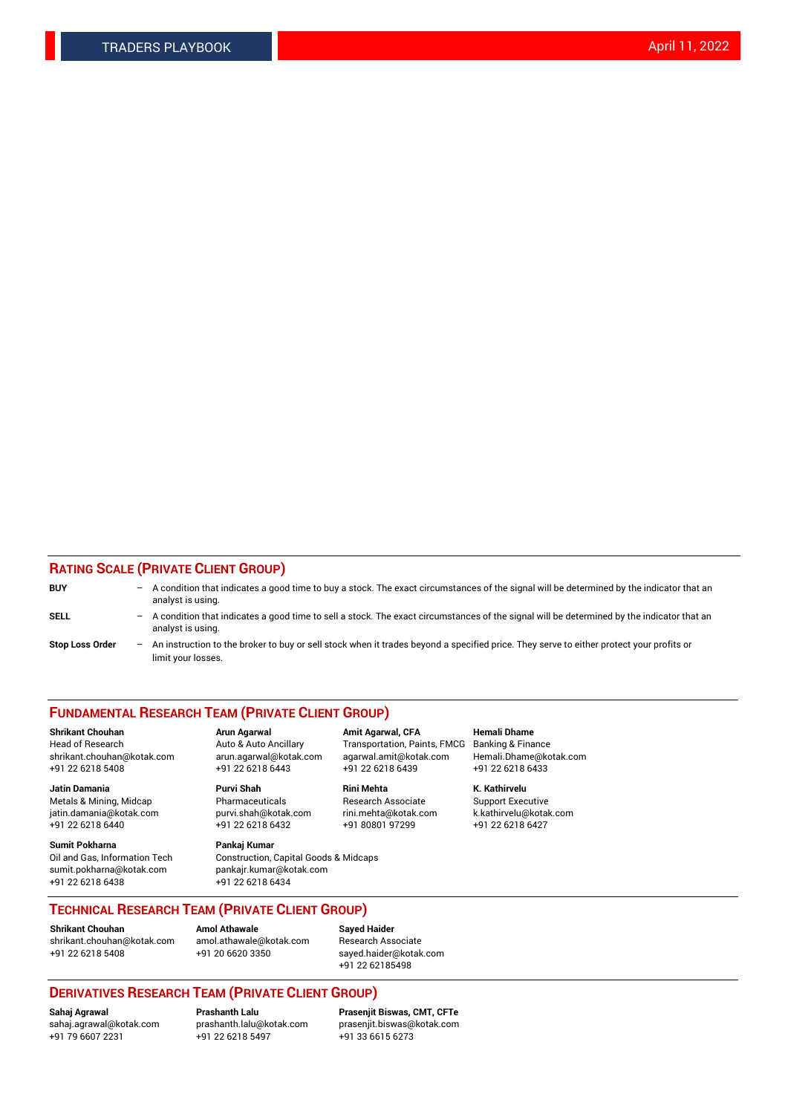### **RATING SCALE (PRIVATE CLIENT GROUP)**

| <b>BUY</b>             | -   | A condition that indicates a good time to buy a stock. The exact circumstances of the signal will be determined by the indicator that an<br>analyst is using.  |
|------------------------|-----|----------------------------------------------------------------------------------------------------------------------------------------------------------------|
| <b>SELL</b>            | -   | A condition that indicates a good time to sell a stock. The exact circumstances of the signal will be determined by the indicator that an<br>analyst is using. |
| <b>Stop Loss Order</b> | $-$ | An instruction to the broker to buy or sell stock when it trades beyond a specified price. They serve to either protect your profits or<br>limit your losses.  |

#### **FUNDAMENTAL RESEARCH TEAM (PRIVATE CLIENT GROUP)**

**Shrikant Chouhan Arun Agarwal Amit Agarwal, CFA Hemali Dhame** Head of Research Auto & Auto Ancillary Transportation, Paints, FMCG Banking & Finance shrikant.chouhan@kotak.com arun.agarwal@kotak.com agarwal.amit@kotak.com Hemali.Dhame@kotak.com

**Jatin Damania Purvi Shah Rini Mehta K. Kathirvelu** Metals & Mining, Midcap **Pharmaceuticals** Research Associate Support Executive jatin.damania@kotak.com [purvi.shah@kotak.com](mailto:purvi.shah@kotak.com) rini.mehta@kotak.com [k.kathirvelu@kotak.com](mailto:k.kathirvelu@kotak.com)  $+91$  22 6218 6440  $+91$  22 6218 6432

**Sumit Pokharna Pankaj Kumar** sumit.pokharna@kotak.com pankajr.kumar@kotak.com +91 22 6218 6438 +91 22 6218 6434

Oil and Gas, Information Tech Construction, Capital Goods & Midcaps

+91 22 6218 5408 +91 22 6218 6443 +91 22 6218 6439 +91 22 6218 6433

**TECHNICAL RESEARCH TEAM (PRIVATE CLIENT GROUP)**

[shrikant.chouhan@kotak.com](mailto:shrikant.chouhan@kotak.com) [amol.athawale@kotak.com](mailto:amol.athawale@kotak.com) Research Associate +91 22 6218 5408 +91 20 6620 3350 [sayed.haider@kotak.com](mailto:sayed.haider@kotak.com)

**Shrikant Chouhan Amol Athawale Sayed Haider**

+91 22 62185498

# **DERIVATIVES RESEARCH TEAM (PRIVATE CLIENT GROUP)**

 $+91$  22 6218 5497

**Sahaj Agrawal Prashanth Lalu Prasenjit Biswas, CMT, CFTe** [sahaj.agrawal@kotak.com](mailto:sahaj.agrawal@kotak.com) [prashanth.lalu@kotak.com](mailto:prashanth.lalu@kotak.com) [prasenjit.biswas@kotak.com](mailto:prasenjit.biswas@kotak.com)